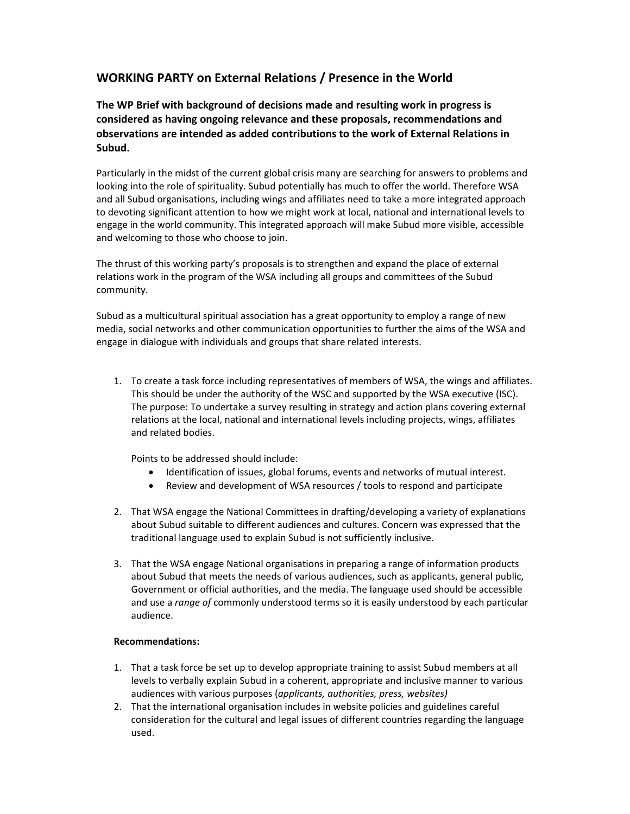## **WORKING PARTY on External Relations / Presence in the World**

**The WP Brief with background of decisions made and resulting work in progress is considered as having ongoing relevance and these proposals, recommendations and observations are intended as added contributions to the work of External Relations in Subud.**

Particularly in the midst of the current global crisis many are searching for answers to problems and looking into the role of spirituality. Subud potentially has much to offer the world. Therefore WSA and all Subud organisations, including wings and affiliates need to take a more integrated approach to devoting significant attention to how we might work at local, national and international levels to engage in the world community. This integrated approach will make Subud more visible, accessible and welcoming to those who choose to join.

The thrust of this working party's proposals is to strengthen and expand the place of external relations work in the program of the WSA including all groups and committees of the Subud community.

Subud as a multicultural spiritual association has a great opportunity to employ a range of new media, social networks and other communication opportunities to further the aims of the WSA and engage in dialogue with individuals and groups that share related interests.

1. To create a task force including representatives of members of WSA, the wings and affiliates. This should be under the authority of the WSC and supported by the WSA executive (ISC). The purpose: To undertake a survey resulting in strategy and action plans covering external relations at the local, national and international levels including projects, wings, affiliates and related bodies.

Points to be addressed should include:

- Identification of issues, global forums, events and networks of mutual interest.
- Review and development of WSA resources / tools to respond and participate
- 2. That WSA engage the National Committees in drafting/developing a variety of explanations about Subud suitable to different audiences and cultures. Concern was expressed that the traditional language used to explain Subud is not sufficiently inclusive.
- 3. That the WSA engage National organisations in preparing a range of information products about Subud that meets the needs of various audiences, such as applicants, general public, Government or official authorities, and the media. The language used should be accessible and use a *range of* commonly understood terms so it is easily understood by each particular audience.

## **Recommendations:**

- 1. That a task force be set up to develop appropriate training to assist Subud members at all levels to verbally explain Subud in a coherent, appropriate and inclusive manner to various audiences with various purposes (*applicants, authorities, press, websites)*
- 2. That the international organisation includes in website policies and guidelines careful consideration for the cultural and legal issues of different countries regarding the language used.